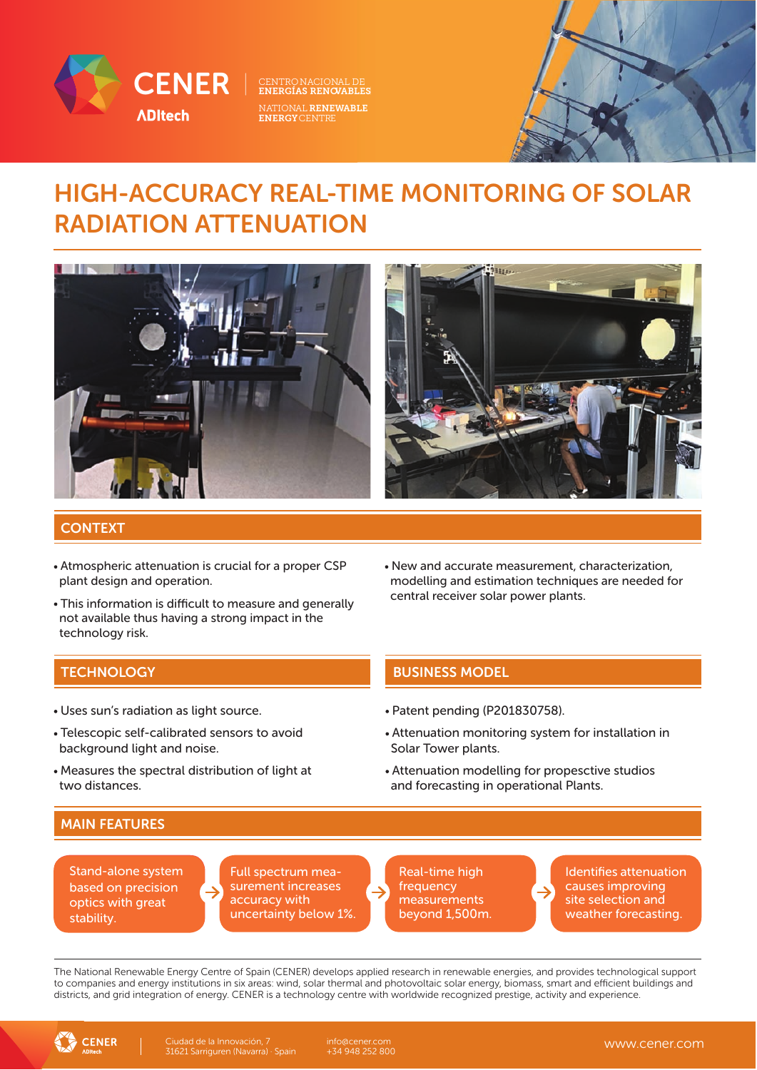

ENERGÍAS RENOVABLES<br>NATIONAL <mark>RENEWABLE</mark><br>ENERGYCENTRE

## HIGH-ACCURACY REAL-TIME MONITORING OF SOLAR RADIATION ATTENUATION



#### **CONTEXT**

- Atmospheric attenuation is crucial for a proper CSP plant design and operation.
- This information is difficult to measure and generally not available thus having a strong impact in the technology risk.
- New and accurate measurement, characterization, modelling and estimation techniques are needed for central receiver solar power plants.

- Uses sun's radiation as light source.
- Telescopic self-calibrated sensors to avoid background light and noise.
- Measures the spectral distribution of light at two distances.

### **TECHNOLOGY BUSINESS MODEL**

- Patent pending (P201830758).
- Attenuation monitoring system for installation in Solar Tower plants.
- Attenuation modelling for propesctive studios and forecasting in operational Plants.

### MAIN FEATURES

Stand-alone system based on precision optics with great stability.

Full spectrum measurement increases accuracy with uncertainty below 1%

Real-time high frequency measurements beyond 1,500m Identifies attenuation causes improving site selection and weather forecasting.

The National Renewable Energy Centre of Spain (CENER) develops applied research in renewable energies, and provides technological support to companies and energy institutions in six areas: wind, solar thermal and photovoltaic solar energy, biomass, smart and efficient buildings and districts, and grid integration of energy. CENER is a technology centre with worldwide recognized prestige, activity and experience.



info@cener.com +34 948 252 800